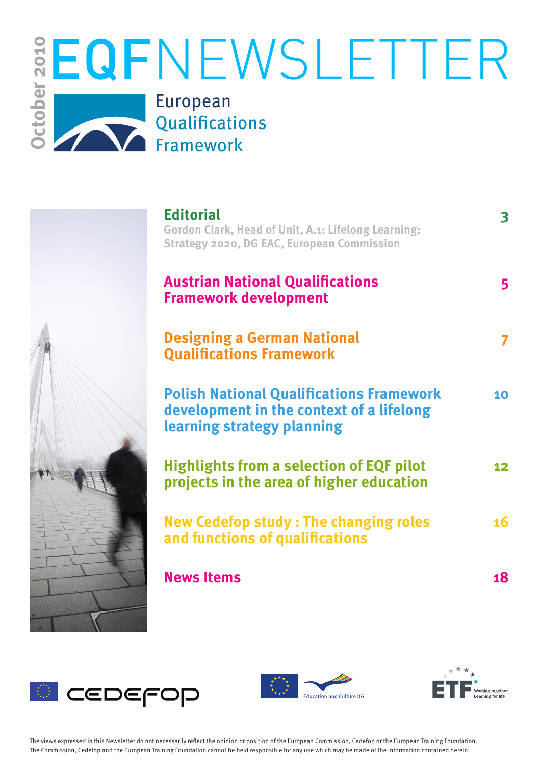

| <b>Editorial</b><br><b>Gordon Clark, Head of Unit, A.1: Lifelong Learning:</b><br><b>Strategy 2020, DG EAC, European Commission</b> | 3               |
|-------------------------------------------------------------------------------------------------------------------------------------|-----------------|
| <b>Austrian National Qualifications</b><br><b>Framework development</b>                                                             | 5               |
| <b>Designing a German National</b><br><b>Qualifications Framework</b>                                                               |                 |
| <b>Polish National Qualifications Framework</b><br>development in the context of a lifelong<br>learning strategy planning           | 10              |
| <b>Highlights from a selection of EQF pilot</b><br>projects in the area of higher education                                         | 12 <sub>2</sub> |
| <b>New Cedefop study: The changing roles</b><br>and functions of qualifications                                                     | 16              |
| <b>News Items</b>                                                                                                                   | 18              |







The views expressed in this Newsletter do not necessarily reflect the opinion or position of the European Commission, Cedefop or the European Training Foundation. The Commission, Cedefop and the European Training Foundation cannot be held responsible for any use which may be made of the information contained herein.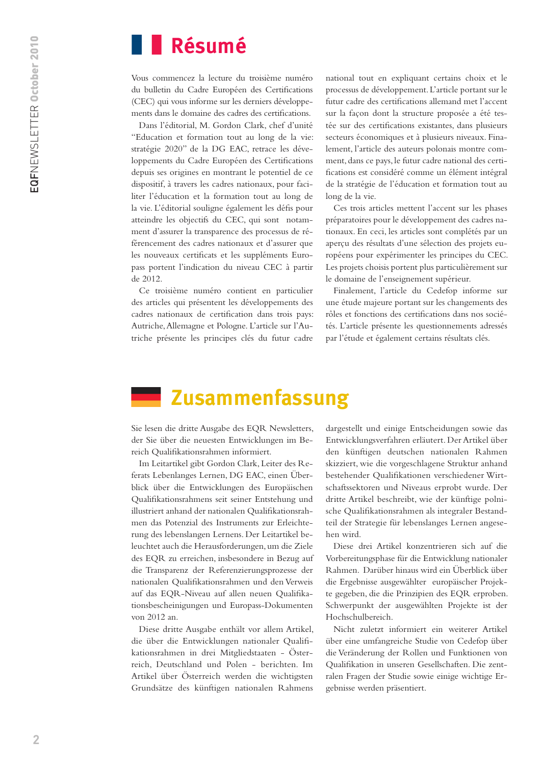# **Résumé**

Vous commencez la lecture du troisième numéro du bulletin du Cadre Européen des Certifications (CEC) qui vous informe sur les derniers développements dans le domaine des cadres des certifications.

Dans l'éditorial, M. Gordon Clark, chef d'unité "Education et formation tout au long de la vie: stratégie 2020" de la DG EAC, retrace les développements du Cadre Européen des Certifications depuis ses origines en montrant le potentiel de ce dispositif, à travers les cadres nationaux, pour faciliter l'éducation et la formation tout au long de la vie. L'éditorial souligne également les défis pour atteindre les objectifs du CEC, qui sont notamment d'assurer la transparence des processus de référencement des cadres nationaux et d'assurer que les nouveaux certificats et les suppléments Europass portent l'indication du niveau CEC à partir de 2012.

Ce troisième numéro contient en particulier des articles qui présentent les développements des cadres nationaux de certification dans trois pays: Autriche, Allemagne et Pologne. L'article sur l'Autriche présente les principes clés du futur cadre

national tout en expliquant certains choix et le processus de développement. L'article portant sur le futur cadre des certifications allemand met l'accent sur la façon dont la structure proposée a été testée sur des certifications existantes, dans plusieurs secteurs économiques et à plusieurs niveaux. Finalement, l'article des auteurs polonais montre comment, dans ce pays, le futur cadre national des certifications est considéré comme un élément intégral de la stratégie de l'éducation et formation tout au long de la vie.

Ces trois articles mettent l'accent sur les phases préparatoires pour le développement des cadres nationaux. En ceci, les articles sont complétés par un aperçu des résultats d'une sélection des projets européens pour expérimenter les principes du CEC. Les projets choisis portent plus particulièrement sur le domaine de l'enseignement supérieur.

Finalement, l'article du Cedefop informe sur une étude majeure portant sur les changements des rôles et fonctions des certifications dans nos sociétés. L'article présente les questionnements adressés par l'étude et également certains résultats clés.

# **Zusammenfassung**

Sie lesen die dritte Ausgabe des EQR Newsletters, der Sie über die neuesten Entwicklungen im Bereich Qualifikationsrahmen informiert.

Im Leitartikel gibt Gordon Clark, Leiter des Referats Lebenlanges Lernen, DG EAC, einen Überblick über die Entwicklungen des Europäischen Qualifikationsrahmens seit seiner Entstehung und illustriert anhand der nationalen Qualifikationsrahmen das Potenzial des Instruments zur Erleichterung des lebenslangen Lernens. Der Leitartikel beleuchtet auch die Herausforderungen, um die Ziele des EQR zu erreichen, insbesondere in Bezug auf die Transparenz der Referenzierungsprozesse der nationalen Qualifikationsrahmen und den Verweis auf das EQR-Niveau auf allen neuen Qualifikationsbescheinigungen und Europass-Dokumenten von 2012 an.

Diese dritte Ausgabe enthält vor allem Artikel, die über die Entwicklungen nationaler Qualifikationsrahmen in drei Mitgliedstaaten - Österreich, Deutschland und Polen - berichten. Im Artikel über Österreich werden die wichtigsten Grundsätze des künftigen nationalen Rahmens

dargestellt und einige Entscheidungen sowie das Entwicklungsverfahren erläutert. Der Artikel über den künftigen deutschen nationalen Rahmen skizziert, wie die vorgeschlagene Struktur anhand bestehender Qualifikationen verschiedener Wirtschaftssektoren und Niveaus erprobt wurde. Der dritte Artikel beschreibt, wie der künftige polnische Qualifikationsrahmen als integraler Bestandteil der Strategie für lebenslanges Lernen angesehen wird.

Diese drei Artikel konzentrieren sich auf die Vorbereitungsphase für die Entwicklung nationaler Rahmen. Darüber hinaus wird ein Überblick über die Ergebnisse ausgewählter europäischer Projekte gegeben, die die Prinzipien des EQR erproben. Schwerpunkt der ausgewählten Projekte ist der Hochschulbereich.

Nicht zuletzt informiert ein weiterer Artikel über eine umfangreiche Studie von Cedefop über die Veränderung der Rollen und Funktionen von Qualifikation in unseren Gesellschaften. Die zentralen Fragen der Studie sowie einige wichtige Ergebnisse werden präsentiert.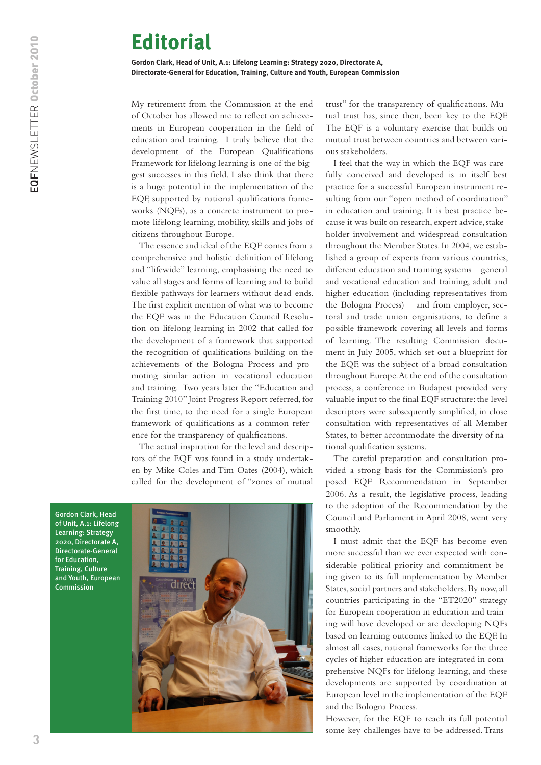# <span id="page-2-0"></span>**Editorial**

**Gordon Clark, Head of Unit, A.1: Lifelong Learning: Strategy 2020, Directorate A, Directorate-General for Education, Training, Culture and Youth, European Commission**

My retirement from the Commission at the end of October has allowed me to reflect on achievements in European cooperation in the field of education and training. I truly believe that the development of the European Qualifications Framework for lifelong learning is one of the biggest successes in this field. I also think that there is a huge potential in the implementation of the EQF, supported by national qualifications frameworks (NQFs), as a concrete instrument to promote lifelong learning, mobility, skills and jobs of citizens throughout Europe.

The essence and ideal of the EQF comes from a comprehensive and holistic definition of lifelong and "lifewide" learning, emphasising the need to value all stages and forms of learning and to build flexible pathways for learners without dead-ends. The first explicit mention of what was to become the EQF was in the Education Council Resolution on lifelong learning in 2002 that called for the development of a framework that supported the recognition of qualifications building on the achievements of the Bologna Process and promoting similar action in vocational education and training. Two years later the "Education and Training 2010" Joint Progress Report referred, for the first time, to the need for a single European framework of qualifications as a common reference for the transparency of qualifications.

The actual inspiration for the level and descriptors of the EQF was found in a study undertaken by Mike Coles and Tim Oates (2004), which called for the development of "zones of mutual

Gordon Clark, Head of Unit, A.1: Lifelong Learning: Strategy 2020, Directorate A, Directorate-General for Education, Training, Culture and Youth, European Commission



trust" for the transparency of qualifications. Mutual trust has, since then, been key to the EQF. The EQF is a voluntary exercise that builds on mutual trust between countries and between various stakeholders.

I feel that the way in which the EQF was carefully conceived and developed is in itself best practice for a successful European instrument resulting from our "open method of coordination" in education and training. It is best practice because it was built on research, expert advice, stakeholder involvement and widespread consultation throughout the Member States. In 2004, we established a group of experts from various countries, different education and training systems – general and vocational education and training, adult and higher education (including representatives from the Bologna Process) – and from employer, sectoral and trade union organisations, to define a possible framework covering all levels and forms of learning. The resulting Commission document in July 2005, which set out a blueprint for the EQF, was the subject of a broad consultation throughout Europe. At the end of the consultation process, a conference in Budapest provided very valuable input to the final EQF structure: the level descriptors were subsequently simplified, in close consultation with representatives of all Member States, to better accommodate the diversity of national qualification systems.

The careful preparation and consultation provided a strong basis for the Commission's proposed EQF Recommendation in September 2006. As a result, the legislative process, leading to the adoption of the Recommendation by the Council and Parliament in April 2008, went very smoothly.

I must admit that the EQF has become even more successful than we ever expected with considerable political priority and commitment being given to its full implementation by Member States, social partners and stakeholders. By now, all countries participating in the "ET2020" strategy for European cooperation in education and training will have developed or are developing NQFs based on learning outcomes linked to the EQF. In almost all cases, national frameworks for the three cycles of higher education are integrated in comprehensive NQFs for lifelong learning, and these developments are supported by coordination at European level in the implementation of the EQF and the Bologna Process.

However, for the EQF to reach its full potential some key challenges have to be addressed. Trans-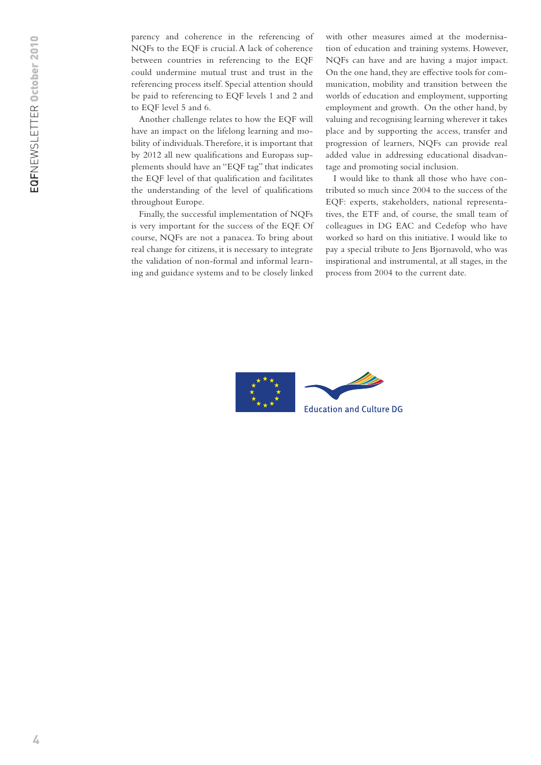parency and coherence in the referencing of NQFs to the EQF is crucial. A lack of coherence between countries in referencing to the EQF could undermine mutual trust and trust in the referencing process itself. Special attention should be paid to referencing to EQF levels 1 and 2 and to EQF level 5 and 6.

Another challenge relates to how the EQF will have an impact on the lifelong learning and mobility of individuals. Therefore, it is important that by 2012 all new qualifications and Europass supplements should have an "EQF tag" that indicates the EQF level of that qualification and facilitates the understanding of the level of qualifications throughout Europe.

Finally, the successful implementation of NQFs is very important for the success of the EQF. Of course, NQFs are not a panacea. To bring about real change for citizens, it is necessary to integrate the validation of non-formal and informal learning and guidance systems and to be closely linked

with other measures aimed at the modernisation of education and training systems. However, NQFs can have and are having a major impact. On the one hand, they are effective tools for communication, mobility and transition between the worlds of education and employment, supporting employment and growth. On the other hand, by valuing and recognising learning wherever it takes place and by supporting the access, transfer and progression of learners, NQFs can provide real added value in addressing educational disadvantage and promoting social inclusion.

I would like to thank all those who have contributed so much since 2004 to the success of the EQF: experts, stakeholders, national representatives, the ETF and, of course, the small team of colleagues in DG EAC and Cedefop who have worked so hard on this initiative. I would like to pay a special tribute to Jens Bjornavold, who was inspirational and instrumental, at all stages, in the process from 2004 to the current date.

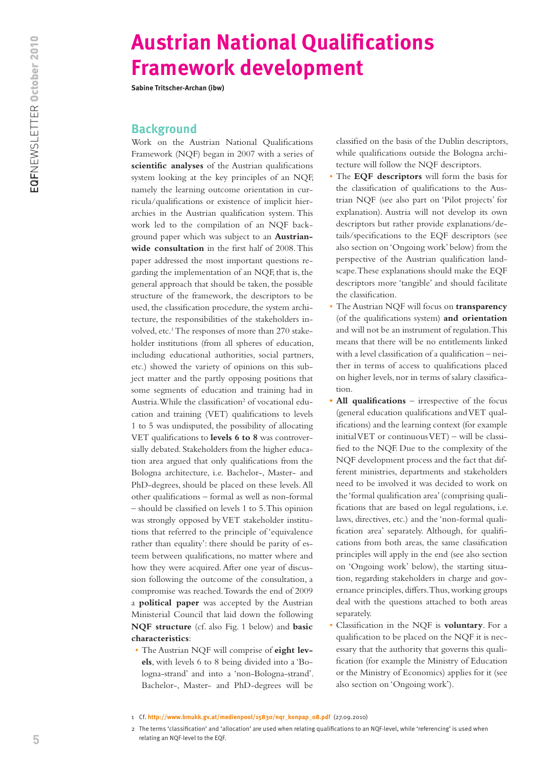# <span id="page-4-0"></span>**Austrian National Qualifications Framework development**

**Sabine Tritscher-Archan (ibw)**

#### **Background**

Work on the Austrian National Qualifications Framework (NQF) began in 2007 with a series of **scientific analyses** of the Austrian qualifications system looking at the key principles of an NQF, namely the learning outcome orientation in curricula/qualifications or existence of implicit hierarchies in the Austrian qualification system. This work led to the compilation of an NQF background paper which was subject to an **Austrianwide consultation** in the first half of 2008. This paper addressed the most important questions regarding the implementation of an NQF, that is, the general approach that should be taken, the possible structure of the framework, the descriptors to be used, the classification procedure, the system architecture, the responsibilities of the stakeholders involved, etc.<sup>1</sup> The responses of more than 270 stakeholder institutions (from all spheres of education, including educational authorities, social partners, etc.) showed the variety of opinions on this subject matter and the partly opposing positions that some segments of education and training had in Austria. While the classification<sup>2</sup> of vocational education and training (VET) qualifications to levels 1 to 5 was undisputed, the possibility of allocating VET qualifications to **levels 6 to 8** was controversially debated. Stakeholders from the higher education area argued that only qualifications from the Bologna architecture, i.e. Bachelor-, Master- and PhD-degrees, should be placed on these levels. All other qualifications – formal as well as non-formal – should be classified on levels 1 to 5. This opinion was strongly opposed by VET stakeholder institutions that referred to the principle of 'equivalence rather than equality': there should be parity of esteem between qualifications, no matter where and how they were acquired. After one year of discussion following the outcome of the consultation, a compromise was reached. Towards the end of 2009 a **political paper** was accepted by the Austrian Ministerial Council that laid down the following **NQF structure** (cf. also Fig. 1 below) and **basic characteristics**:

• The Austrian NQF will comprise of **eight levels**, with levels 6 to 8 being divided into a 'Bologna-strand' and into a 'non-Bologna-strand'. Bachelor-, Master- and PhD-degrees will be

classified on the basis of the Dublin descriptors, while qualifications outside the Bologna architecture will follow the NQF descriptors.

- • The **EQF descriptors** will form the basis for the classification of qualifications to the Austrian NQF (see also part on 'Pilot projects' for explanation). Austria will not develop its own descriptors but rather provide explanations/details/specifications to the EQF descriptors (see also section on 'Ongoing work' below) from the perspective of the Austrian qualification landscape. These explanations should make the EQF descriptors more 'tangible' and should facilitate the classification.
- The Austrian NQF will focus on **transparency** (of the qualifications system) **and orientation** and will not be an instrument of regulation. This means that there will be no entitlements linked with a level classification of a qualification – neither in terms of access to qualifications placed on higher levels, nor in terms of salary classification.
- All qualifications irrespective of the focus (general education qualifications and VET qualifications) and the learning context (for example initial VET or continuous VET) – will be classified to the NQF. Due to the complexity of the NQF development process and the fact that different ministries, departments and stakeholders need to be involved it was decided to work on the 'formal qualification area' (comprising qualifications that are based on legal regulations, i.e. laws, directives, etc.) and the 'non-formal qualification area' separately. Although, for qualifications from both areas, the same classification principles will apply in the end (see also section on 'Ongoing work' below), the starting situation, regarding stakeholders in charge and governance principles, differs. Thus, working groups deal with the questions attached to both areas separately.
- Classification in the NQF is **voluntary**. For a qualification to be placed on the NQF it is necessary that the authority that governs this qualification (for example the Ministry of Education or the Ministry of Economics) applies for it (see also section on 'Ongoing work').

<sup>1</sup> Cf. **[http://www.bmukk.gv.at/medienpool/15830/nqr\\_konpap\\_08.pdf](http://www.bmukk.gv.at/medienpool/15830/nqr_konpap_08.pdf)** (27.09.2010)

<sup>2</sup> The terms 'classification' and 'allocation' are used when relating qualifications to an NQF-level, while 'referencing' is used when relating an NQF-level to the EQF.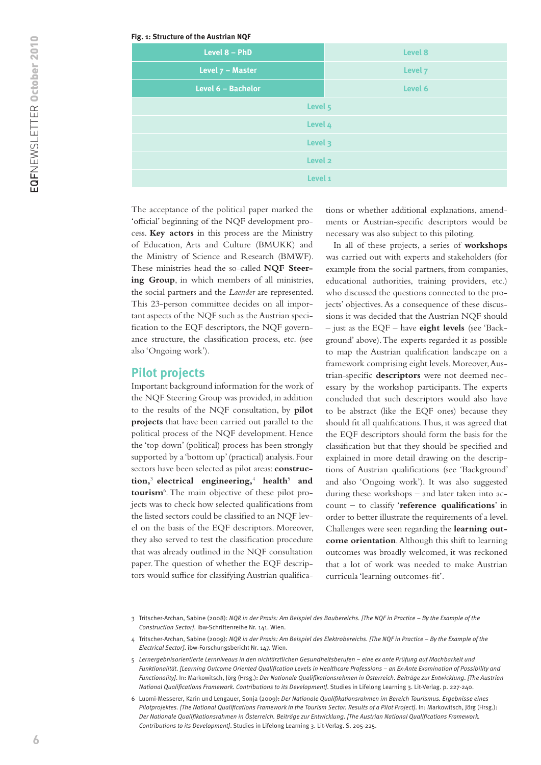#### **Fig. 1: Structure of the Austrian NQF**

| Level 8            |
|--------------------|
| Level 7            |
| Level 6            |
| Level 5            |
| Level 4            |
| Level 3            |
| Level <sub>2</sub> |
| Level 1            |
|                    |

The acceptance of the political paper marked the 'official' beginning of the NQF development process. **Key actors** in this process are the Ministry of Education, Arts and Culture (BMUKK) and the Ministry of Science and Research (BMWF). These ministries head the so-called **NQF Steering Group**, in which members of all ministries, the social partners and the *Laender* are represented. This 23-person committee decides on all important aspects of the NQF such as the Austrian specification to the EQF descriptors, the NQF governance structure, the classification process, etc. (see also 'Ongoing work').

#### **Pilot projects**

Important background information for the work of the NQF Steering Group was provided, in addition to the results of the NQF consultation, by **pilot projects** that have been carried out parallel to the political process of the NQF development. Hence the 'top down' (political) process has been strongly supported by a 'bottom up' (practical) analysis. Four sectors have been selected as pilot areas: **construction,**<sup>3</sup>**electrical engineering,**<sup>4</sup>  **health**<sup>5</sup>  **and tourism**<sup>6</sup> . The main objective of these pilot projects was to check how selected qualifications from the listed sectors could be classified to an NQF level on the basis of the EQF descriptors. Moreover, they also served to test the classification procedure that was already outlined in the NQF consultation paper. The question of whether the EQF descriptors would suffice for classifying Austrian qualifica-

tions or whether additional explanations, amendments or Austrian-specific descriptors would be necessary was also subject to this piloting.

In all of these projects, a series of **workshops** was carried out with experts and stakeholders (for example from the social partners, from companies, educational authorities, training providers, etc.) who discussed the questions connected to the projects' objectives. As a consequence of these discussions it was decided that the Austrian NQF should – just as the EQF – have **eight levels** (see 'Background' above). The experts regarded it as possible to map the Austrian qualification landscape on a framework comprising eight levels. Moreover, Austrian-specific **descriptors** were not deemed necessary by the workshop participants. The experts concluded that such descriptors would also have to be abstract (like the EQF ones) because they should fit all qualifications. Thus, it was agreed that the EQF descriptors should form the basis for the classification but that they should be specified and explained in more detail drawing on the descriptions of Austrian qualifications (see 'Background' and also 'Ongoing work'). It was also suggested during these workshops – and later taken into account – to classify '**reference qualifications**' in order to better illustrate the requirements of a level. Challenges were seen regarding the **learning outcome orientation**. Although this shift to learning outcomes was broadly welcomed, it was reckoned that a lot of work was needed to make Austrian curricula 'learning outcomes-fit'.

<sup>3</sup> Tritscher-Archan, Sabine (2008): *NQR in der Praxis: Am Beispiel des Baubereichs. [The NQF in Practice – By the Example of the Construction Sector]*. ibw-Schriftenreihe Nr. 141. Wien.

<sup>4</sup> Tritscher-Archan, Sabine (2009): *NQR in der Praxis: Am Beispiel des Elektrobereichs. [The NQF in Practice – By the Example of the Electrical Sector]*. ibw-Forschungsbericht Nr. 147. Wien.

<sup>5</sup> *Lernergebnisorientierte Lernniveaus in den nichtärztlichen Gesundheitsberufen – eine ex ante Prüfung auf Machbarkeit und Funktionalität. [Learning Outcome Oriented Qualification Levels in Healthcare Professions – an Ex-Ante Examination of Possibility and Functionality]*. In: Markowitsch, Jörg (Hrsg.): *Der Nationale Qualifikationsrahmen in Österreich. Beiträge zur Entwicklung. [The Austrian National Qualifications Framework. Contributions to its Development]*. Studies in Lifelong Learning 3. Lit-Verlag. p. 227-240.

<sup>6</sup> Luomi-Messerer, Karin und Lengauer, Sonja (2009): *Der Nationale Qualifikationsrahmen im Bereich Tourismus. Ergebnisse eines Pilotprojektes. [The National Qualifications Framework in the Tourism Sector. Results of a Pilot Project]*. In: Markowitsch, Jörg (Hrsg.): *Der Nationale Qualifikationsrahmen in Österreich. Beiträge zur Entwicklung. [The Austrian National Qualifications Framework. Contributions to its Development]*. Studies in Lifelong Learning 3. Lit-Verlag. S. 205-225.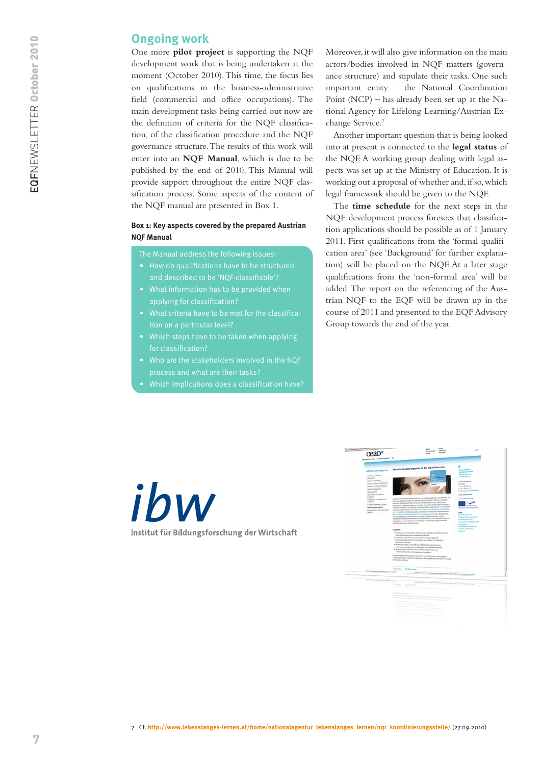### **Ongoing work**

One more **pilot project** is supporting the NQF development work that is being undertaken at the moment (October 2010). This time, the focus lies on qualifications in the business-administrative field (commercial and office occupations). The main development tasks being carried out now are the definition of criteria for the NQF classification, of the classification procedure and the NQF governance structure. The results of this work will enter into an **NQF Manual**, which is due to be published by the end of 2010. This Manual will provide support throughout the entire NQF classification process. Some aspects of the content of the NQF manual are presented in Box 1.

#### **Box 1: Key aspects covered by the prepared Austrian NQF Manual**

The Manual address the following issues:

- • How do qualifications have to be structured and described to be 'NQF-classifiable'?
- applying for classification?
- tion on a particular level?
- Which steps have to be taken when applying for classification?
- Who are the stakeholders involved in the NQF process and what are their tasks?
- 

Moreover, it will also give information on the main actors/bodies involved in NQF matters (governance structure) and stipulate their tasks. One such important entity – the National Coordination Point (NCP) – has already been set up at the National Agency for Lifelong Learning/Austrian Exchange Service.7

Another important question that is being looked into at present is connected to the **legal status** of the NQF. A working group dealing with legal aspects was set up at the Ministry of Education. It is working out a proposal of whether and, if so, which legal framework should be given to the NQF.

The **time schedule** for the next steps in the NQF development process foresees that classification applications should be possible as of 1 January 2011. First qualifications from the 'formal qualification area' (see 'Background' for further explanation) will be placed on the NQF. At a later stage qualifications from the 'non-formal area' will be added. The report on the referencing of the Austrian NQF to the EQF will be drawn up in the course of 2011 and presented to the EQF Advisory Group towards the end of the year.

ibw Institut für Bildungsforschung der Wirtschaft

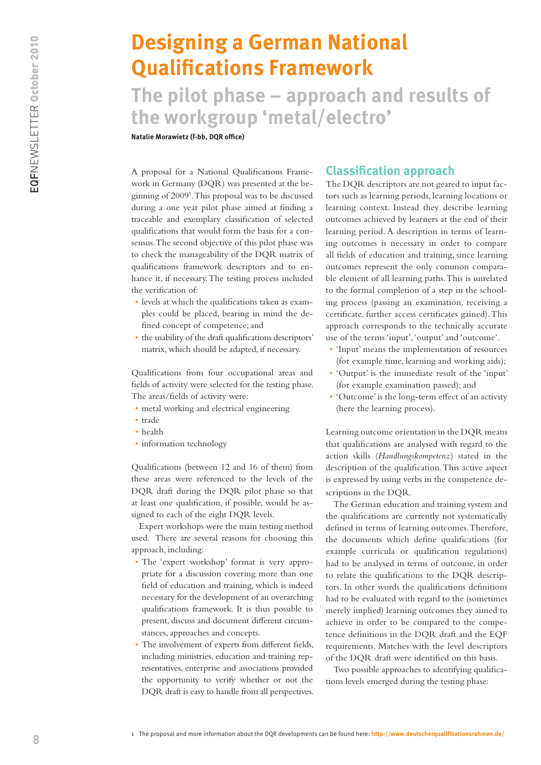# <span id="page-7-0"></span>**Designing a German National Qualifications Framework**

**The pilot phase – approach and results of the workgroup 'metal/electro'**

**Natalie Morawietz (f-bb, DQR office)**

A proposal for a National Qualifications Framework in Germany (DQR) was presented at the beginning of 20091 . This proposal was to be discussed during a one year pilot phase aimed at finding a traceable and exemplary classification of selected qualifications that would form the basis for a consensus. The second objective of this pilot phase was to check the manageability of the DQR matrix of qualifications framework descriptors and to enhance it, if necessary. The testing process included the verification of:

- levels at which the qualifications taken as examples could be placed, bearing in mind the defined concept of competence; and
- the usability of the draft qualifications descriptors' matrix, which should be adapted, if necessary.

Qualifications from four occupational areas and fields of activity were selected for the testing phase. The areas/fields of activity were:

- metal working and electrical engineering
- • trade
- • health
- information technology

Qualifications (between 12 and 16 of them) from these areas were referenced to the levels of the DQR draft during the DQR pilot phase so that at least one qualification, if possible, would be assigned to each of the eight DQR levels.

Expert workshops were the main testing method used. There are several reasons for choosing this approach, including:

- The 'expert workshop' format is very appropriate for a discussion covering more than one field of education and training, which is indeed necessary for the development of an overarching qualifications framework. It is thus possible to present, discuss and document different circumstances, approaches and concepts.
- • The involvement of experts from different fields, including ministries, education and training representatives, enterprise and associations provided the opportunity to verify whether or not the DQR draft is easy to handle from all perspectives.

#### **Classification approach**

The DQR descriptors are not geared to input factors such as learning periods, learning locations or learning context. Instead they describe learning outcomes achieved by learners at the end of their learning period. A description in terms of learning outcomes is necessary in order to compare all fields of education and training, since learning outcomes represent the only common comparable element of all learning paths. This is unrelated to the formal completion of a step in the schooling process (passing an examination, receiving a certificate, further access certificates gained). This approach corresponds to the technically accurate use of the terms 'input', 'output' and 'outcome'.

- • 'Input' means the implementation of resources (for example time, learning and working aids);
- • 'Output' is the immediate result of the 'input' (for example examination passed); and
- • 'Outcome' is the long-term effect of an activity (here the learning process).

Learning outcome orientation in the DQR means that qualifications are analysed with regard to the action skills (*Handlungskompetenz*) stated in the description of the qualification. This active aspect is expressed by using verbs in the competence descriptions in the DQR.

The German education and training system and the qualifications are currently not systematically defined in terms of learning outcomes. Therefore, the documents which define qualifications (for example curricula or qualification regulations) had to be analysed in terms of outcome, in order to relate the qualifications to the DQR descriptors. In other words the qualifications definitions had to be evaluated with regard to the (sometimes merely implied) learning outcomes they aimed to achieve in order to be compared to the competence definitions in the DQR draft and the EQF requirements. Matches with the level descriptors of the DQR draft were identified on this basis.

Two possible approaches to identifying qualifications levels emerged during the testing phase: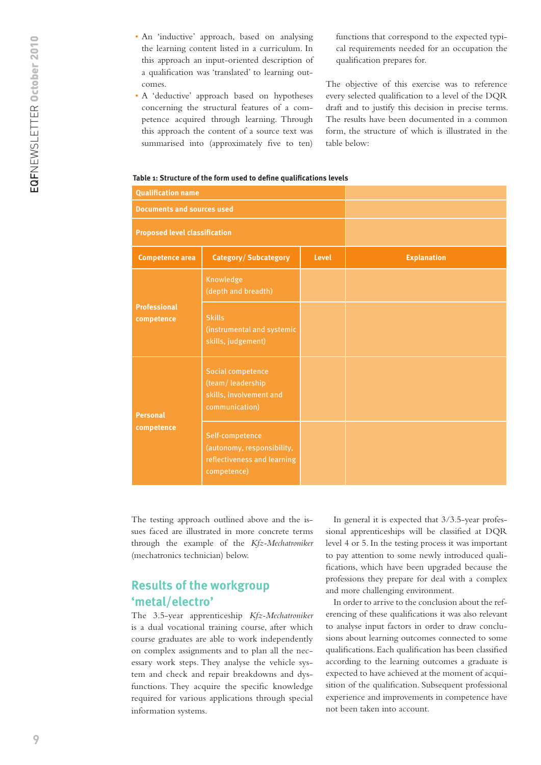- An 'inductive' approach, based on analysing the learning content listed in a curriculum. In this approach an input-oriented description of a qualification was 'translated' to learning outcomes.
- A 'deductive' approach based on hypotheses concerning the structural features of a competence acquired through learning. Through this approach the content of a source text was summarised into (approximately five to ten)

functions that correspond to the expected typical requirements needed for an occupation the qualification prepares for.

The objective of this exercise was to reference every selected qualification to a level of the DQR draft and to justify this decision in precise terms. The results have been documented in a common form, the structure of which is illustrated in the table below:

#### **Table 1: Structure of the form used to define qualifications levels**

| <b>Qualification name</b>            |                                                                                             |              |                    |
|--------------------------------------|---------------------------------------------------------------------------------------------|--------------|--------------------|
| <b>Documents and sources used</b>    |                                                                                             |              |                    |
| <b>Proposed level classification</b> |                                                                                             |              |                    |
| <b>Competence area</b>               | <b>Category/Subcategory</b>                                                                 | <b>Level</b> | <b>Explanation</b> |
|                                      | Knowledge<br>(depth and breadth)                                                            |              |                    |
| <b>Professional</b><br>competence    | <b>Skills</b><br>(instrumental and systemic<br>skills, judgement)                           |              |                    |
| <b>Personal</b><br>competence        | <b>Social competence</b><br>(team/leadership<br>skills, involvement and<br>communication)   |              |                    |
|                                      | Self-competence<br>(autonomy, responsibility,<br>reflectiveness and learning<br>competence) |              |                    |

The testing approach outlined above and the issues faced are illustrated in more concrete terms through the example of the *Kfz-Mechatroniker* (mechatronics technician) below.

# **Results of the workgroup 'metal/electro'**

The 3.5-year apprenticeship *Kfz-Mechatroniker* is a dual vocational training course, after which course graduates are able to work independently on complex assignments and to plan all the necessary work steps. They analyse the vehicle system and check and repair breakdowns and dysfunctions. They acquire the specific knowledge required for various applications through special information systems.

In general it is expected that 3/3.5-year professional apprenticeships will be classified at DQR level 4 or 5. In the testing process it was important to pay attention to some newly introduced qualifications, which have been upgraded because the professions they prepare for deal with a complex and more challenging environment.

In order to arrive to the conclusion about the referencing of these qualifications it was also relevant to analyse input factors in order to draw conclusions about learning outcomes connected to some qualifications. Each qualification has been classified according to the learning outcomes a graduate is expected to have achieved at the moment of acquisition of the qualification. Subsequent professional experience and improvements in competence have not been taken into account.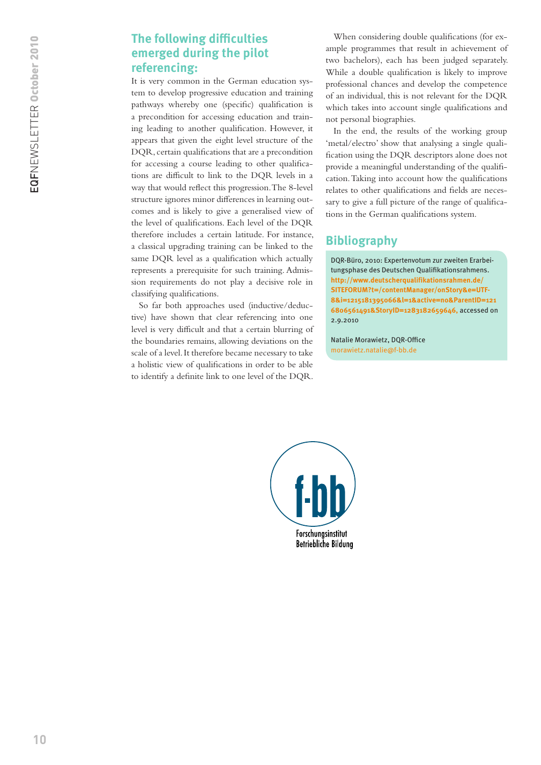## **The following difficulties emerged during the pilot referencing:**

It is very common in the German education system to develop progressive education and training pathways whereby one (specific) qualification is a precondition for accessing education and training leading to another qualification. However, it appears that given the eight level structure of the DQR, certain qualifications that are a precondition for accessing a course leading to other qualifications are difficult to link to the DQR levels in a way that would reflect this progression. The 8-level structure ignores minor differences in learning outcomes and is likely to give a generalised view of the level of qualifications. Each level of the DQR therefore includes a certain latitude. For instance, a classical upgrading training can be linked to the same DQR level as a qualification which actually represents a prerequisite for such training. Admission requirements do not play a decisive role in classifying qualifications.

So far both approaches used (inductive/deductive) have shown that clear referencing into one level is very difficult and that a certain blurring of the boundaries remains, allowing deviations on the scale of a level. It therefore became necessary to take a holistic view of qualifications in order to be able to identify a definite link to one level of the DQR.

When considering double qualifications (for example programmes that result in achievement of two bachelors), each has been judged separately. While a double qualification is likely to improve professional chances and develop the competence of an individual, this is not relevant for the DQR which takes into account single qualifications and not personal biographies.

In the end, the results of the working group 'metal/electro' show that analysing a single qualification using the DQR descriptors alone does not provide a meaningful understanding of the qualification. Taking into account how the qualifications relates to other qualifications and fields are necessary to give a full picture of the range of qualifications in the German qualifications system.

## **Bibliography**

DQR-Büro, 2010: Expertenvotum zur zweiten Erarbeitungsphase des Deutschen Qualifikationsrahmens. **[http://www.deutscherqualifikationsrahmen.de/](http://www.deutscherqualifikationsrahmen.de/SITEFORUM?t=/contentManager/onStory&e=UTF-8&i=1215181395066&l=1&active=no&ParentID=1216806561491&StoryID=1283182659646) [SITEFORUM?t=/contentManager/onStory&e=UTF-](http://www.deutscherqualifikationsrahmen.de/SITEFORUM?t=/contentManager/onStory&e=UTF-8&i=1215181395066&l=1&active=no&ParentID=1216806561491&StoryID=1283182659646)[8&i=1215181395066&l=1&active=no&ParentID=121](http://www.deutscherqualifikationsrahmen.de/SITEFORUM?t=/contentManager/onStory&e=UTF-8&i=1215181395066&l=1&active=no&ParentID=1216806561491&StoryID=1283182659646) [6806561491&StoryID=1283182659646,](http://www.deutscherqualifikationsrahmen.de/SITEFORUM?t=/contentManager/onStory&e=UTF-8&i=1215181395066&l=1&active=no&ParentID=1216806561491&StoryID=1283182659646)** accessed on 2.9.2010

Natalie Morawietz, DQR-Office [morawietz.natalie@f-bb.de](mailto:morawietz.natalie%40f-bb.de?subject=)

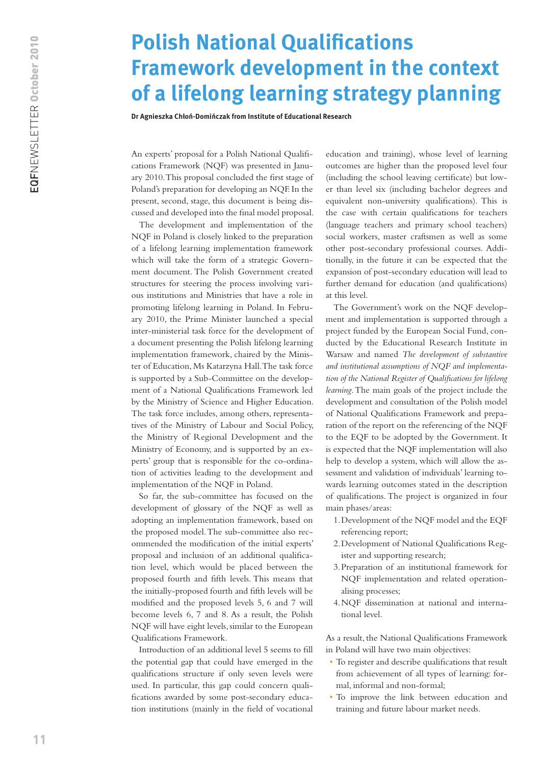<span id="page-10-0"></span>EQFNEWSLETTER October 2010

# **Polish National Qualifications Framework development in the context of a lifelong learning strategy planning**

**Dr Agnieszka Chłoń-Domińczak from Institute of Educational Research** 

An experts' proposal for a Polish National Qualifications Framework (NQF) was presented in January 2010. This proposal concluded the first stage of Poland's preparation for developing an NQF. In the present, second, stage, this document is being discussed and developed into the final model proposal.

The development and implementation of the NQF in Poland is closely linked to the preparation of a lifelong learning implementation framework which will take the form of a strategic Government document. The Polish Government created structures for steering the process involving various institutions and Ministries that have a role in promoting lifelong learning in Poland. In February 2010, the Prime Minister launched a special inter-ministerial task force for the development of a document presenting the Polish lifelong learning implementation framework, chaired by the Minister of Education, Ms Katarzyna Hall. The task force is supported by a Sub-Committee on the development of a National Qualifications Framework led by the Ministry of Science and Higher Education. The task force includes, among others, representatives of the Ministry of Labour and Social Policy, the Ministry of Regional Development and the Ministry of Economy, and is supported by an experts' group that is responsible for the co-ordination of activities leading to the development and implementation of the NQF in Poland.

So far, the sub-committee has focused on the development of glossary of the NQF as well as adopting an implementation framework, based on the proposed model. The sub-committee also recommended the modification of the initial experts' proposal and inclusion of an additional qualification level, which would be placed between the proposed fourth and fifth levels. This means that the initially-proposed fourth and fifth levels will be modified and the proposed levels 5, 6 and 7 will become levels 6, 7 and 8. As a result, the Polish NQF will have eight levels, similar to the European Qualifications Framework.

Introduction of an additional level 5 seems to fill the potential gap that could have emerged in the qualifications structure if only seven levels were used. In particular, this gap could concern qualifications awarded by some post-secondary education institutions (mainly in the field of vocational

education and training), whose level of learning outcomes are higher than the proposed level four (including the school leaving certificate) but lower than level six (including bachelor degrees and equivalent non-university qualifications). This is the case with certain qualifications for teachers (language teachers and primary school teachers) social workers, master craftsmen as well as some other post-secondary professional courses. Additionally, in the future it can be expected that the expansion of post-secondary education will lead to further demand for education (and qualifications) at this level.

The Government's work on the NQF development and implementation is supported through a project funded by the European Social Fund, conducted by the Educational Research Institute in Warsaw and named *The development of substantive and institutional assumptions of NQF and implementation of the National Register of Qualifications for lifelong learning*. The main goals of the project include the development and consultation of the Polish model of National Qualifications Framework and preparation of the report on the referencing of the NQF to the EQF to be adopted by the Government. It is expected that the NQF implementation will also help to develop a system, which will allow the assessment and validation of individuals' learning towards learning outcomes stated in the description of qualifications. The project is organized in four main phases/areas:

- 1.Development of the NQF model and the EQF referencing report;
- 2.Development of National Qualifications Register and supporting research;
- 3.Preparation of an institutional framework for NQF implementation and related operationalising processes;
- 4.NQF dissemination at national and international level.

As a result, the National Qualifications Framework in Poland will have two main objectives:

- To register and describe qualifications that result from achievement of all types of learning: formal, informal and non-formal;
- • To improve the link between education and training and future labour market needs.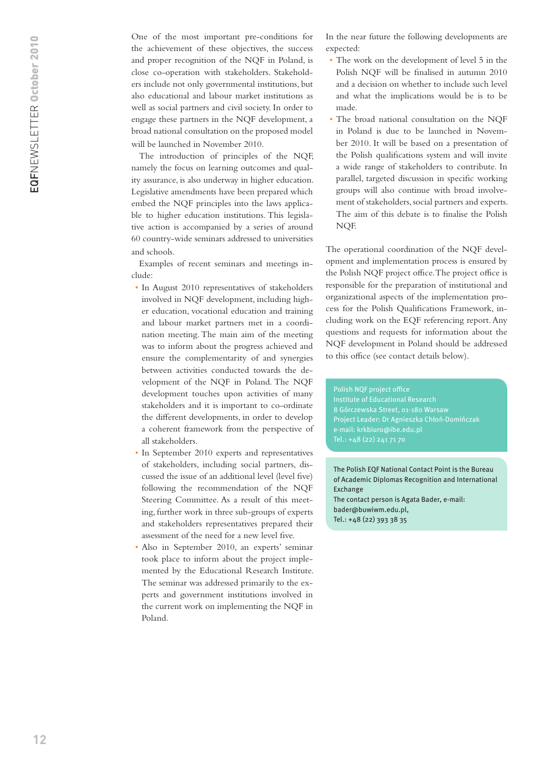One of the most important pre-conditions for the achievement of these objectives, the success and proper recognition of the NQF in Poland, is close co-operation with stakeholders. Stakeholders include not only governmental institutions, but also educational and labour market institutions as well as social partners and civil society. In order to engage these partners in the NQF development, a broad national consultation on the proposed model will be launched in November 2010.

The introduction of principles of the NQF, namely the focus on learning outcomes and quality assurance, is also underway in higher education. Legislative amendments have been prepared which embed the NQF principles into the laws applicable to higher education institutions. This legislative action is accompanied by a series of around 60 country-wide seminars addressed to universities and schools.

Examples of recent seminars and meetings include:

- In August 2010 representatives of stakeholders involved in NQF development, including higher education, vocational education and training and labour market partners met in a coordination meeting. The main aim of the meeting was to inform about the progress achieved and ensure the complementarity of and synergies between activities conducted towards the development of the NQF in Poland. The NQF development touches upon activities of many stakeholders and it is important to co-ordinate the different developments, in order to develop a coherent framework from the perspective of all stakeholders.
- In September 2010 experts and representatives of stakeholders, including social partners, discussed the issue of an additional level (level five) following the recommendation of the NQF Steering Committee. As a result of this meeting, further work in three sub-groups of experts and stakeholders representatives prepared their assessment of the need for a new level five.
- • Also in September 2010, an experts' seminar took place to inform about the project implemented by the Educational Research Institute. The seminar was addressed primarily to the experts and government institutions involved in the current work on implementing the NQF in Poland.

In the near future the following developments are expected:

- The work on the development of level 5 in the Polish NQF will be finalised in autumn 2010 and a decision on whether to include such level and what the implications would be is to be made.
- • The broad national consultation on the NQF in Poland is due to be launched in November 2010. It will be based on a presentation of the Polish qualifications system and will invite a wide range of stakeholders to contribute. In parallel, targeted discussion in specific working groups will also continue with broad involvement of stakeholders, social partners and experts. The aim of this debate is to finalise the Polish NQF.

The operational coordination of the NQF development and implementation process is ensured by the Polish NQF project office. The project office is responsible for the preparation of institutional and organizational aspects of the implementation process for the Polish Qualifications Framework, including work on the EQF referencing report. Any questions and requests for information about the NQF development in Poland should be addressed to this office (see contact details below).

Polish NQF project office Institute of Educational Research 8 Górczewska Street, 01-180 Warsaw Project Leader: Dr Agnieszka Chłoń-Domińczak e-mail: krkbiuro@ibe.edu.pl

The Polish EQF National Contact Point is the Bureau of Academic Diplomas Recognition and International Exchange The contact person is Agata Bader, e-mail: bader@buwiwm.edu.pl, Tel.: +48 (22) 393 38 35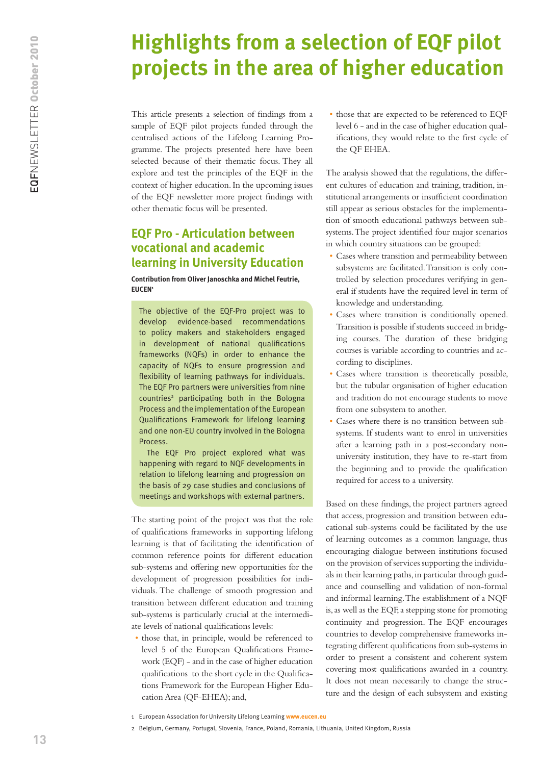# <span id="page-12-0"></span>**Highlights from a selection of EQF pilot projects in the area of higher education**

This article presents a selection of findings from a sample of EQF pilot projects funded through the centralised actions of the Lifelong Learning Programme. The projects presented here have been selected because of their thematic focus. They all explore and test the principles of the EQF in the context of higher education. In the upcoming issues of the EQF newsletter more project findings with other thematic focus will be presented.

# **EQF Pro - Articulation between vocational and academic learning in University Education**

**Contribution from Oliver Janoschka and Michel Feutrie, EUCEN1**

The objective of the EQF-Pro project was to develop evidence-based recommendations to policy makers and stakeholders engaged in development of national qualifications frameworks (NQFs) in order to enhance the capacity of NQFs to ensure progression and flexibility of learning pathways for individuals. The EQF Pro partners were universities from nine countries<sup>2</sup> participating both in the Bologna Process and the implementation of the European Qualifications Framework for lifelong learning and one non-EU country involved in the Bologna Process.

The EQF Pro project explored what was happening with regard to NQF developments in relation to lifelong learning and progression on the basis of 29 case studies and conclusions of meetings and workshops with external partners.

The starting point of the project was that the role of qualifications frameworks in supporting lifelong learning is that of facilitating the identification of common reference points for different education sub-systems and offering new opportunities for the development of progression possibilities for individuals. The challenge of smooth progression and transition between different education and training sub-systems is particularly crucial at the intermediate levels of national qualifications levels:

• those that, in principle, would be referenced to level 5 of the European Qualifications Framework (EQF) - and in the case of higher education qualifications to the short cycle in the Qualifications Framework for the European Higher Education Area (QF-EHEA); and,

• those that are expected to be referenced to EQF level 6 - and in the case of higher education qualifications, they would relate to the first cycle of the QF EHEA.

The analysis showed that the regulations, the different cultures of education and training, tradition, institutional arrangements or insufficient coordination still appear as serious obstacles for the implementation of smooth educational pathways between subsystems. The project identified four major scenarios in which country situations can be grouped:

- • Cases where transition and permeability between subsystems are facilitated. Transition is only controlled by selection procedures verifying in general if students have the required level in term of knowledge and understanding.
- • Cases where transition is conditionally opened. Transition is possible if students succeed in bridging courses. The duration of these bridging courses is variable according to countries and according to disciplines.
- • Cases where transition is theoretically possible, but the tubular organisation of higher education and tradition do not encourage students to move from one subsystem to another.
- Cases where there is no transition between subsystems. If students want to enrol in universities after a learning path in a post-secondary nonuniversity institution, they have to re-start from the beginning and to provide the qualification required for access to a university.

Based on these findings, the project partners agreed that access, progression and transition between educational sub-systems could be facilitated by the use of learning outcomes as a common language, thus encouraging dialogue between institutions focused on the provision of services supporting the individuals in their learning paths, in particular through guidance and counselling and validation of non-formal and informal learning. The establishment of a NQF is, as well as the EQF, a stepping stone for promoting continuity and progression. The EQF encourages countries to develop comprehensive frameworks integrating different qualifications from sub-systems in order to present a consistent and coherent system covering most qualifications awarded in a country. It does not mean necessarily to change the structure and the design of each subsystem and existing

<sup>1</sup> European Association for University Lifelong Learning **<www.eucen.eu>**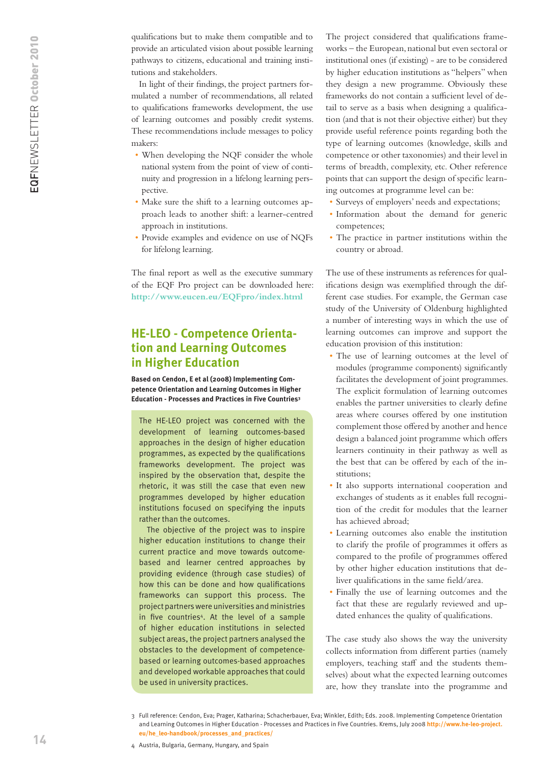qualifications but to make them compatible and to provide an articulated vision about possible learning pathways to citizens, educational and training institutions and stakeholders.

In light of their findings, the project partners formulated a number of recommendations, all related to qualifications frameworks development, the use of learning outcomes and possibly credit systems. These recommendations include messages to policy makers:

- When developing the NQF consider the whole national system from the point of view of continuity and progression in a lifelong learning perspective.
- • Make sure the shift to a learning outcomes approach leads to another shift: a learner-centred approach in institutions.
- • Provide examples and evidence on use of NQFs for lifelong learning.

The final report as well as the executive summary of the EQF Pro project can be downloaded here: **<http://www.eucen.eu/EQFpro/index.html>**

### **HE-LEO - Competence Orientation and Learning Outcomes in Higher Education**

**Based on Cendon, E et al (2008) Implementing Competence Orientation and Learning Outcomes in Higher Education - Processes and Practices in Five Countries3**

The HE-LEO project was concerned with the development of learning outcomes-based approaches in the design of higher education programmes, as expected by the qualifications frameworks development. The project was inspired by the observation that, despite the rhetoric, it was still the case that even new programmes developed by higher education institutions focused on specifying the inputs rather than the outcomes.

The objective of the project was to inspire higher education institutions to change their current practice and move towards outcomebased and learner centred approaches by providing evidence (through case studies) of how this can be done and how qualifications frameworks can support this process. The project partners were universities and ministries in five countries<sup>4</sup>. At the level of a sample of higher education institutions in selected subject areas, the project partners analysed the obstacles to the development of competencebased or learning outcomes-based approaches and developed workable approaches that could be used in university practices.

The project considered that qualifications frameworks – the European, national but even sectoral or institutional ones (if existing) - are to be considered by higher education institutions as "helpers" when they design a new programme. Obviously these frameworks do not contain a sufficient level of detail to serve as a basis when designing a qualification (and that is not their objective either) but they provide useful reference points regarding both the type of learning outcomes (knowledge, skills and competence or other taxonomies) and their level in terms of breadth, complexity, etc. Other reference points that can support the design of specific learning outcomes at programme level can be:

- • Surveys of employers' needs and expectations;
- • Information about the demand for generic competences;
- • The practice in partner institutions within the country or abroad.

The use of these instruments as references for qualifications design was exemplified through the different case studies. For example, the German case study of the University of Oldenburg highlighted a number of interesting ways in which the use of learning outcomes can improve and support the education provision of this institution:

- The use of learning outcomes at the level of modules (programme components) significantly facilitates the development of joint programmes. The explicit formulation of learning outcomes enables the partner universities to clearly define areas where courses offered by one institution complement those offered by another and hence design a balanced joint programme which offers learners continuity in their pathway as well as the best that can be offered by each of the institutions;
- • It also supports international cooperation and exchanges of students as it enables full recognition of the credit for modules that the learner has achieved abroad;
- • Learning outcomes also enable the institution to clarify the profile of programmes it offers as compared to the profile of programmes offered by other higher education institutions that deliver qualifications in the same field/area.
- • Finally the use of learning outcomes and the fact that these are regularly reviewed and updated enhances the quality of qualifications.

The case study also shows the way the university collects information from different parties (namely employers, teaching staff and the students themselves) about what the expected learning outcomes are, how they translate into the programme and

<sup>3</sup> Full reference: Cendon, Eva; Prager, Katharina; Schacherbauer, Eva; Winkler, Edith; Eds. 2008. Implementing Competence Orientation and Learning Outcomes in Higher Education - Processes and Practices in Five Countries. Krems, July 2008 **[http://www.he-leo-project.](http://www.he-leo-project.eu/he_leo-handbook/processes_and_practices/) [eu/he\\_leo-handbook/processes\\_and\\_practices/](http://www.he-leo-project.eu/he_leo-handbook/processes_and_practices/)**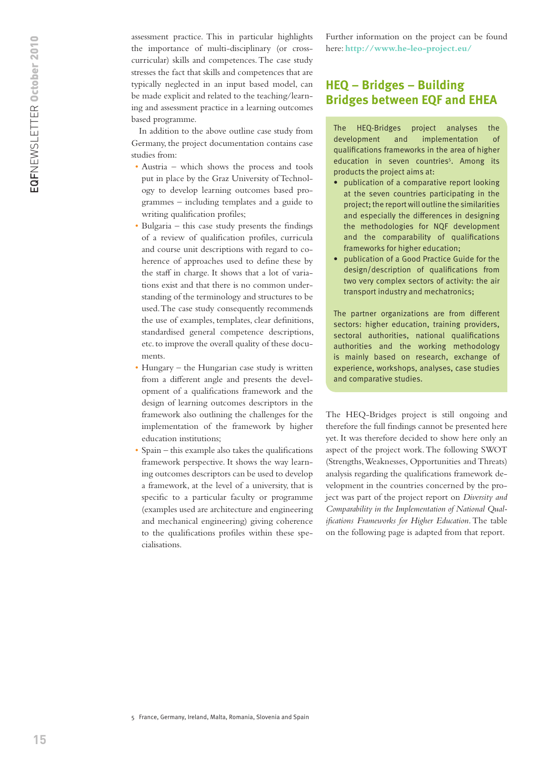assessment practice. This in particular highlights the importance of multi-disciplinary (or crosscurricular) skills and competences. The case study stresses the fact that skills and competences that are typically neglected in an input based model, can be made explicit and related to the teaching/learning and assessment practice in a learning outcomes based programme.

In addition to the above outline case study from Germany, the project documentation contains case studies from:

- Austria which shows the process and tools put in place by the Graz University of Technology to develop learning outcomes based programmes – including templates and a guide to writing qualification profiles;
- Bulgaria this case study presents the findings of a review of qualification profiles, curricula and course unit descriptions with regard to coherence of approaches used to define these by the staff in charge. It shows that a lot of variations exist and that there is no common understanding of the terminology and structures to be used. The case study consequently recommends the use of examples, templates, clear definitions, standardised general competence descriptions, etc. to improve the overall quality of these documents.
- Hungary the Hungarian case study is written from a different angle and presents the development of a qualifications framework and the design of learning outcomes descriptors in the framework also outlining the challenges for the implementation of the framework by higher education institutions;
- $S$ pain this example also takes the qualifications framework perspective. It shows the way learning outcomes descriptors can be used to develop a framework, at the level of a university, that is specific to a particular faculty or programme (examples used are architecture and engineering and mechanical engineering) giving coherence to the qualifications profiles within these specialisations.

Further information on the project can be found here: **<http://www.he-leo-project.eu/>**

### **HEQ – Bridges – Building Bridges between EQF and EHEA**

The HEQ-Bridges project analyses the development and implementation of qualifications frameworks in the area of higher education in seven countries<sup>5</sup>. Among its products the project aims at:

- publication of a comparative report looking at the seven countries participating in the project; the report will outline the similarities and especially the differences in designing the methodologies for NQF development and the comparability of qualifications frameworks for higher education;
- • publication of a Good Practice Guide for the design/description of qualifications from two very complex sectors of activity: the air transport industry and mechatronics;

The partner organizations are from different sectors: higher education, training providers, sectoral authorities, national qualifications authorities and the working methodology is mainly based on research, exchange of experience, workshops, analyses, case studies and comparative studies.

The HEQ-Bridges project is still ongoing and therefore the full findings cannot be presented here yet. It was therefore decided to show here only an aspect of the project work. The following SWOT (Strengths, Weaknesses, Opportunities and Threats) analysis regarding the qualifications framework development in the countries concerned by the project was part of the project report on *Diversity and Comparability in the Implementation of National Qualifications Frameworks for Higher Education*. The table on the following page is adapted from that report.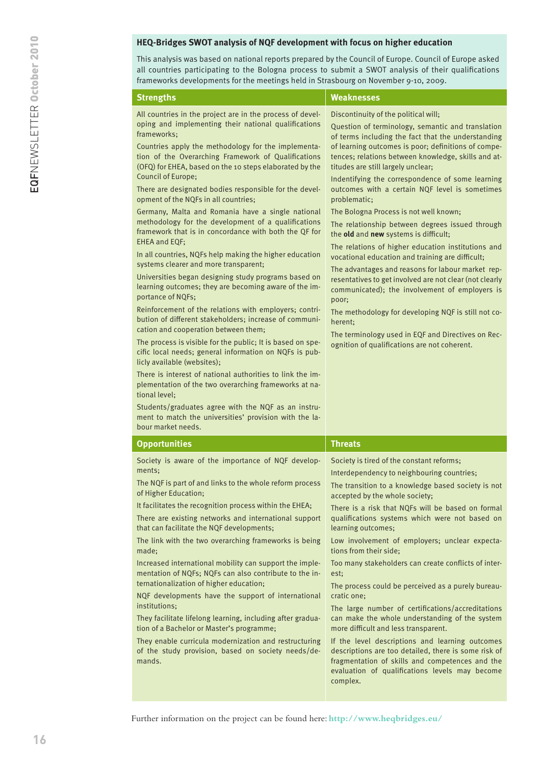#### **HEQ-Bridges SWOT analysis of NQF development with focus on higher education**

This analysis was based on national reports prepared by the Council of Europe. Council of Europe asked all countries participating to the Bologna process to submit a SWOT analysis of their qualifications frameworks developments for the meetings held in Strasbourg on November 9-10, 2009.

| All countries in the project are in the process of devel-<br>Discontinuity of the political will;<br>oping and implementing their national qualifications<br>Question of terminology, semantic and translation<br>frameworks;<br>of terms including the fact that the understanding<br>of learning outcomes is poor; definitions of compe-<br>Countries apply the methodology for the implementa-<br>tion of the Overarching Framework of Qualifications<br>tences; relations between knowledge, skills and at-<br>(OFQ) for EHEA, based on the 10 steps elaborated by the<br>titudes are still largely unclear;<br>Council of Europe;<br>Indentifying the correspondence of some learning<br>There are designated bodies responsible for the devel-<br>outcomes with a certain NQF level is sometimes<br>opment of the NQFs in all countries;<br>problematic;<br>Germany, Malta and Romania have a single national<br>The Bologna Process is not well known;<br>methodology for the development of a qualifications<br>The relationship between degrees issued through<br>framework that is in concordance with both the QF for<br>the old and new systems is difficult;<br><b>EHEA and EQF;</b><br>The relations of higher education institutions and<br>In all countries, NQFs help making the higher education<br>vocational education and training are difficult;<br>systems clearer and more transparent;<br>The advantages and reasons for labour market rep-<br>Universities began designing study programs based on<br>resentatives to get involved are not clear (not clearly<br>learning outcomes; they are becoming aware of the im-<br>communicated); the involvement of employers is<br>portance of NQFs;<br>poor;                                           |  |
|----------------------------------------------------------------------------------------------------------------------------------------------------------------------------------------------------------------------------------------------------------------------------------------------------------------------------------------------------------------------------------------------------------------------------------------------------------------------------------------------------------------------------------------------------------------------------------------------------------------------------------------------------------------------------------------------------------------------------------------------------------------------------------------------------------------------------------------------------------------------------------------------------------------------------------------------------------------------------------------------------------------------------------------------------------------------------------------------------------------------------------------------------------------------------------------------------------------------------------------------------------------------------------------------------------------------------------------------------------------------------------------------------------------------------------------------------------------------------------------------------------------------------------------------------------------------------------------------------------------------------------------------------------------------------------------------------------------------------------------------------------------------------|--|
| Reinforcement of the relations with employers; contri-<br>The methodology for developing NQF is still not co-<br>bution of different stakeholders; increase of communi-<br>herent;<br>cation and cooperation between them;<br>The terminology used in EQF and Directives on Rec-<br>The process is visible for the public; It is based on spe-<br>ognition of qualifications are not coherent.<br>cific local needs; general information on NQFs is pub-<br>licly available (websites);<br>There is interest of national authorities to link the im-<br>plementation of the two overarching frameworks at na-<br>tional level;<br>Students/graduates agree with the NQF as an instru-<br>ment to match the universities' provision with the la-<br>bour market needs.                                                                                                                                                                                                                                                                                                                                                                                                                                                                                                                                                                                                                                                                                                                                                                                                                                                                                                                                                                                                      |  |
| <b>Opportunities</b><br><b>Threats</b>                                                                                                                                                                                                                                                                                                                                                                                                                                                                                                                                                                                                                                                                                                                                                                                                                                                                                                                                                                                                                                                                                                                                                                                                                                                                                                                                                                                                                                                                                                                                                                                                                                                                                                                                     |  |
| Society is aware of the importance of NQF develop-<br>Society is tired of the constant reforms;<br>ments;<br>Interdependency to neighbouring countries;<br>The NQF is part of and links to the whole reform process<br>The transition to a knowledge based society is not<br>of Higher Education;<br>accepted by the whole society;<br>It facilitates the recognition process within the EHEA;<br>There is a risk that NQFs will be based on formal<br>There are existing networks and international support<br>qualifications systems which were not based on<br>that can facilitate the NQF developments;<br>learning outcomes;<br>The link with the two overarching frameworks is being<br>Low involvement of employers; unclear expecta-<br>tions from their side;<br>made;<br>Increased international mobility can support the imple-<br>Too many stakeholders can create conflicts of inter-<br>mentation of NQFs; NQFs can also contribute to the in-<br>est;<br>ternationalization of higher education;<br>The process could be perceived as a purely bureau-<br>NQF developments have the support of international<br>cratic one;<br>institutions;<br>The large number of certifications/accreditations<br>can make the whole understanding of the system<br>They facilitate lifelong learning, including after gradua-<br>tion of a Bachelor or Master's programme;<br>more difficult and less transparent.<br>They enable curricula modernization and restructuring<br>If the level descriptions and learning outcomes<br>descriptions are too detailed, there is some risk of<br>of the study provision, based on society needs/de-<br>fragmentation of skills and competences and the<br>mands.<br>evaluation of qualifications levels may become<br>complex. |  |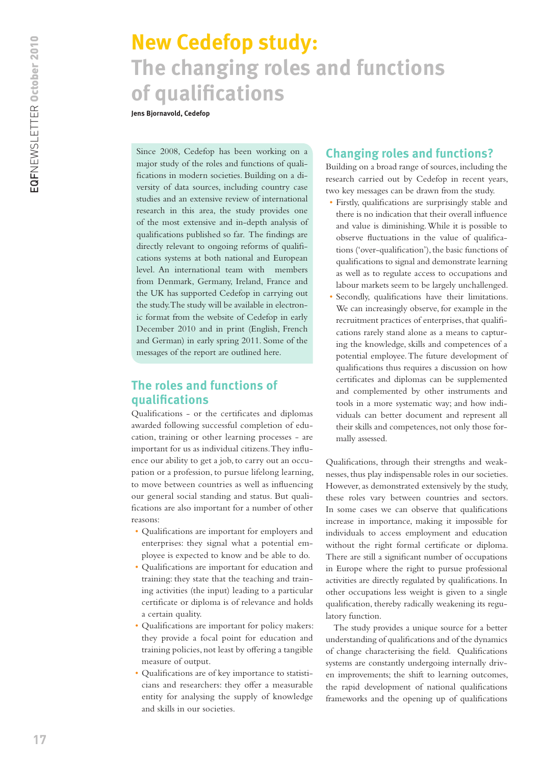# <span id="page-16-0"></span>**New Cedefop study: The changing roles and functions of qualifications**

**Jens Bjornavold, Cedefop**

Since 2008, Cedefop has been working on a major study of the roles and functions of qualifications in modern societies. Building on a diversity of data sources, including country case studies and an extensive review of international research in this area, the study provides one of the most extensive and in-depth analysis of qualifications published so far. The findings are directly relevant to ongoing reforms of qualifications systems at both national and European level. An international team with members from Denmark, Germany, Ireland, France and the UK has supported Cedefop in carrying out the study. The study will be available in electronic format from the website of Cedefop in early December 2010 and in print (English, French and German) in early spring 2011. Some of the messages of the report are outlined here.

## **The roles and functions of qualifications**

Qualifications - or the certificates and diplomas awarded following successful completion of education, training or other learning processes - are important for us as individual citizens. They influence our ability to get a job, to carry out an occupation or a profession, to pursue lifelong learning, to move between countries as well as influencing our general social standing and status. But qualifications are also important for a number of other reasons:

- • Qualifications are important for employers and enterprises: they signal what a potential employee is expected to know and be able to do.
- • Qualifications are important for education and training: they state that the teaching and training activities (the input) leading to a particular certificate or diploma is of relevance and holds a certain quality.
- • Qualifications are important for policy makers: they provide a focal point for education and training policies, not least by offering a tangible measure of output.
- • Qualifications are of key importance to statisticians and researchers: they offer a measurable entity for analysing the supply of knowledge and skills in our societies.

# **Changing roles and functions?**

Building on a broad range of sources, including the research carried out by Cedefop in recent years, two key messages can be drawn from the study.

- • Firstly, qualifications are surprisingly stable and there is no indication that their overall influence and value is diminishing. While it is possible to observe fluctuations in the value of qualifications ('over-qualification'), the basic functions of qualifications to signal and demonstrate learning as well as to regulate access to occupations and labour markets seem to be largely unchallenged.
- Secondly, qualifications have their limitations. We can increasingly observe, for example in the recruitment practices of enterprises, that qualifications rarely stand alone as a means to capturing the knowledge, skills and competences of a potential employee. The future development of qualifications thus requires a discussion on how certificates and diplomas can be supplemented and complemented by other instruments and tools in a more systematic way; and how individuals can better document and represent all their skills and competences, not only those formally assessed.

Qualifications, through their strengths and weaknesses, thus play indispensable roles in our societies. However, as demonstrated extensively by the study, these roles vary between countries and sectors. In some cases we can observe that qualifications increase in importance, making it impossible for individuals to access employment and education without the right formal certificate or diploma. There are still a significant number of occupations in Europe where the right to pursue professional activities are directly regulated by qualifications. In other occupations less weight is given to a single qualification, thereby radically weakening its regulatory function.

The study provides a unique source for a better understanding of qualifications and of the dynamics of change characterising the field. Qualifications systems are constantly undergoing internally driven improvements; the shift to learning outcomes, the rapid development of national qualifications frameworks and the opening up of qualifications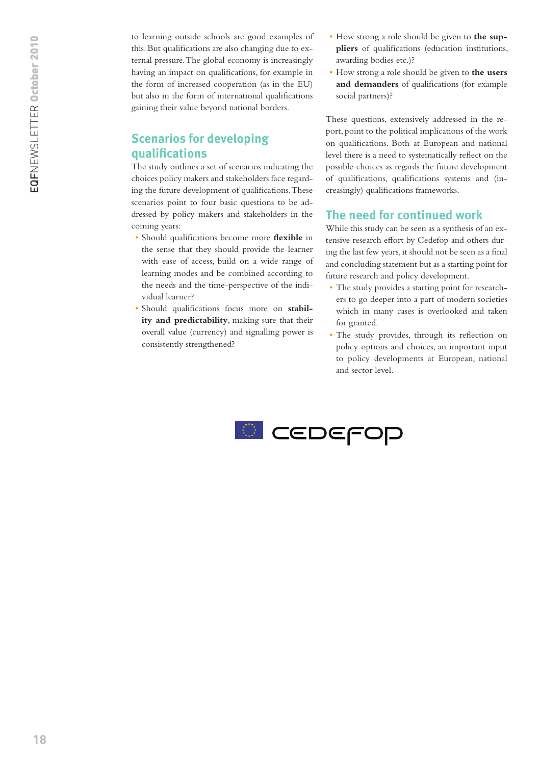to learning outside schools are good examples of this. But qualifications are also changing due to external pressure. The global economy is increasingly having an impact on qualifications, for example in the form of increased cooperation (as in the EU) but also in the form of international qualifications gaining their value beyond national borders.

## **Scenarios for developing qualifications**

The study outlines a set of scenarios indicating the choices policy makers and stakeholders face regarding the future development of qualifications. These scenarios point to four basic questions to be addressed by policy makers and stakeholders in the coming years:

- • Should qualifications become more **flexible** in the sense that they should provide the learner with ease of access, build on a wide range of learning modes and be combined according to the needs and the time-perspective of the individual learner?
- • Should qualifications focus more on **stability and predictability**, making sure that their overall value (currency) and signalling power is consistently strengthened?
- • How strong a role should be given to **the suppliers** of qualifications (education institutions, awarding bodies etc.)?
- • How strong a role should be given to **the users and demanders** of qualifications (for example social partners)?

These questions, extensively addressed in the report, point to the political implications of the work on qualifications. Both at European and national level there is a need to systematically reflect on the possible choices as regards the future development of qualifications, qualifications systems and (increasingly) qualifications frameworks.

### **The need for continued work**

While this study can be seen as a synthesis of an extensive research effort by Cedefop and others during the last few years, it should not be seen as a final and concluding statement but as a starting point for future research and policy development.

- The study provides a starting point for researchers to go deeper into a part of modern societies which in many cases is overlooked and taken for granted.
- • The study provides, through its reflection on policy options and choices, an important input to policy developments at European, national and sector level.